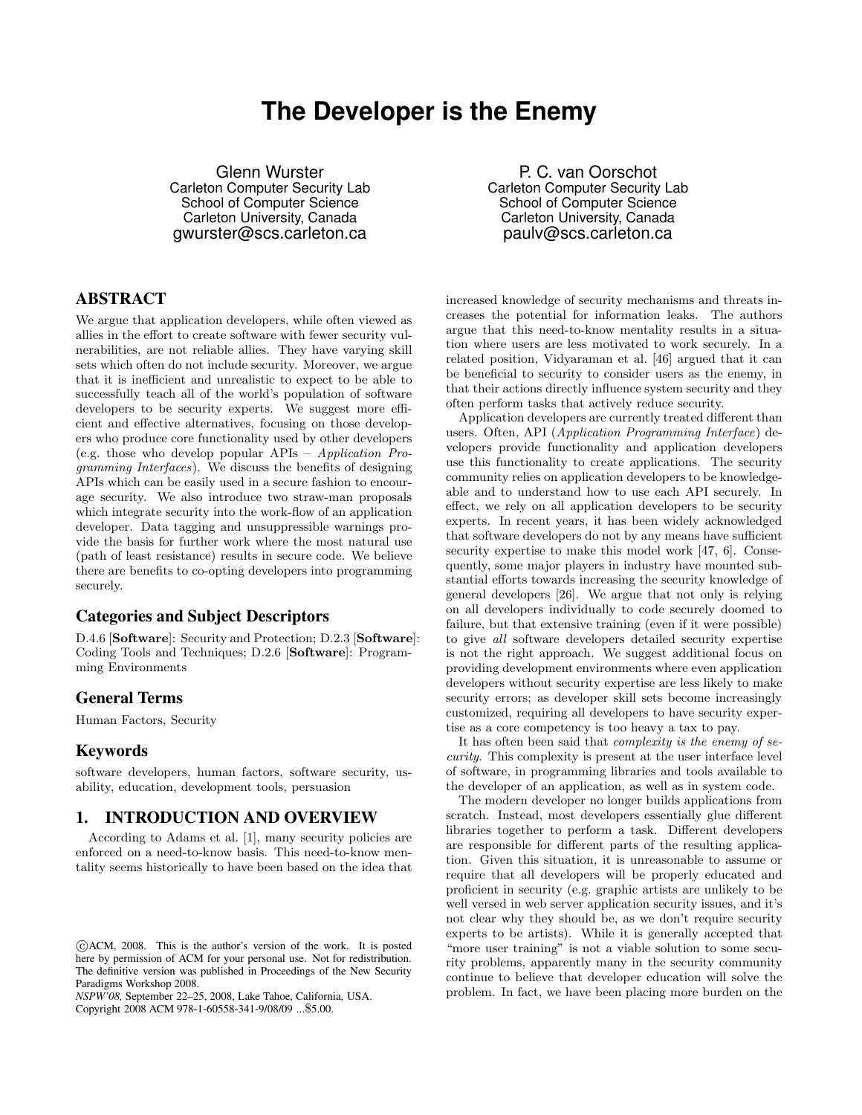# **The Developer is the Enemy**

Glenn Wurster Carleton Computer Security Lab School of Computer Science Carleton University, Canada gwurster@scs.carleton.ca

# **ABSTRACT**

We argue that application developers, while often viewed as allies in the effort to create software with fewer security vulnerabilities, are not reliable allies. They have varying skill sets which often do not include security. Moreover, we argue that it is inefficient and unrealistic to expect to be able to successfully teach all of the world's population of software developers to be security experts. We suggest more efficient and effective alternatives, focusing on those developers who produce core functionality used by other developers (e.g. those who develop popular APIs – Application Programming Interfaces). We discuss the benefits of designing APIs which can be easily used in a secure fashion to encourage security. We also introduce two straw-man proposals which integrate security into the work-flow of an application developer. Data tagging and unsuppressible warnings provide the basis for further work where the most natural use (path of least resistance) results in secure code. We believe there are benefits to co-opting developers into programming securely.

## **Categories and Subject Descriptors**

D.4.6 [Software]: Security and Protection; D.2.3 [Software]: Coding Tools and Techniques; D.2.6 [Software]: Programming Environments

## **General Terms**

Human Factors, Security

# **Keywords**

software developers, human factors, software security, usability, education, development tools, persuasion

#### **1. INTRODUCTION AND OVERVIEW**

According to Adams et al. [1], many security policies are enforced on a need-to-know basis. This need-to-know mentality seems historically to have been based on the idea that

*NSPW'08,* September 22–25, 2008, Lake Tahoe, California, USA.

Copyright 2008 ACM 978-1-60558-341-9/08/09 ...\$5.00.

P. C. van Oorschot Carleton Computer Security Lab School of Computer Science Carleton University, Canada paulv@scs.carleton.ca

increased knowledge of security mechanisms and threats increases the potential for information leaks. The authors argue that this need-to-know mentality results in a situation where users are less motivated to work securely. In a related position, Vidyaraman et al. [46] argued that it can be beneficial to security to consider users as the enemy, in that their actions directly influence system security and they often perform tasks that actively reduce security.

Application developers are currently treated different than users. Often, API (Application Programming Interface) developers provide functionality and application developers use this functionality to create applications. The security community relies on application developers to be knowledgeable and to understand how to use each API securely. In effect, we rely on all application developers to be security experts. In recent years, it has been widely acknowledged that software developers do not by any means have sufficient security expertise to make this model work [47, 6]. Consequently, some major players in industry have mounted substantial efforts towards increasing the security knowledge of general developers [26]. We argue that not only is relying on all developers individually to code securely doomed to failure, but that extensive training (even if it were possible) to give all software developers detailed security expertise is not the right approach. We suggest additional focus on providing development environments where even application developers without security expertise are less likely to make security errors; as developer skill sets become increasingly customized, requiring all developers to have security expertise as a core competency is too heavy a tax to pay.

It has often been said that complexity is the enemy of security. This complexity is present at the user interface level of software, in programming libraries and tools available to the developer of an application, as well as in system code.

The modern developer no longer builds applications from scratch. Instead, most developers essentially glue different libraries together to perform a task. Different developers are responsible for different parts of the resulting application. Given this situation, it is unreasonable to assume or require that all developers will be properly educated and proficient in security (e.g. graphic artists are unlikely to be well versed in web server application security issues, and it's not clear why they should be, as we don't require security experts to be artists). While it is generally accepted that "more user training" is not a viable solution to some security problems, apparently many in the security community continue to believe that developer education will solve the problem. In fact, we have been placing more burden on the

c ACM, 2008. This is the author's version of the work. It is posted here by permission of ACM for your personal use. Not for redistribution. The definitive version was published in Proceedings of the New Security Paradigms Workshop 2008.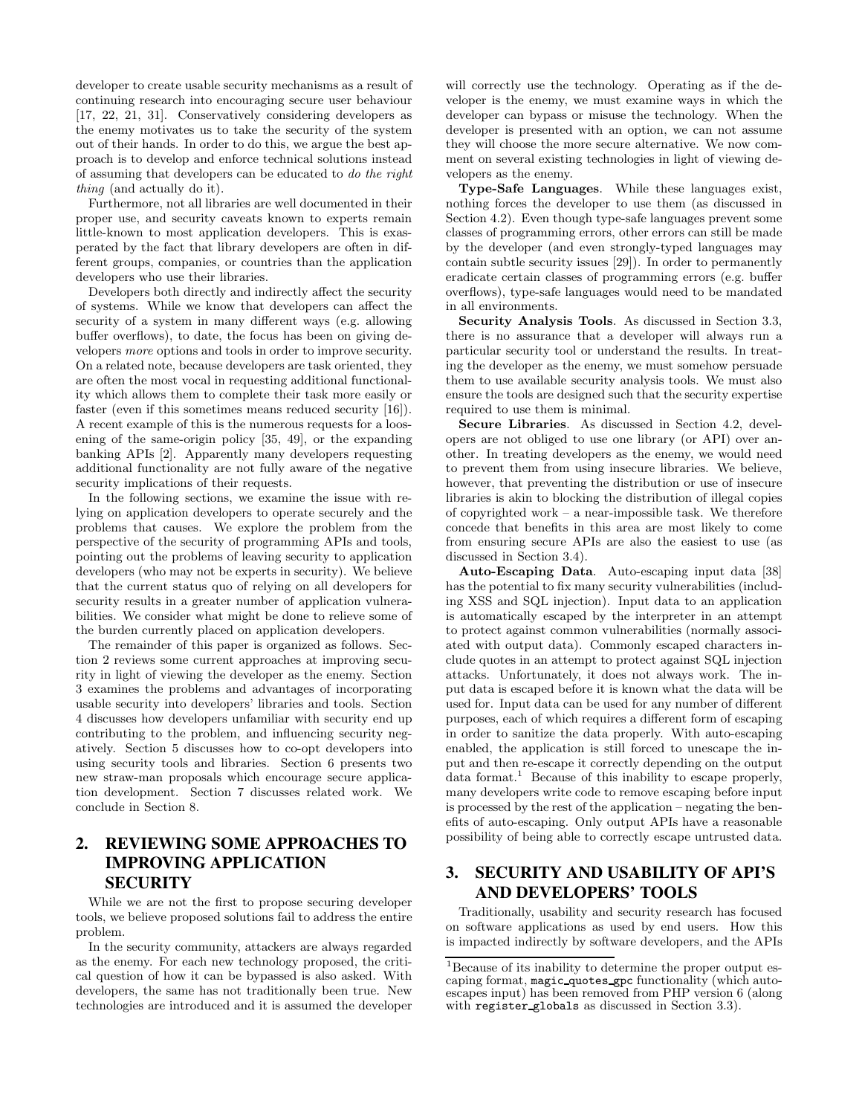developer to create usable security mechanisms as a result of continuing research into encouraging secure user behaviour [17, 22, 21, 31]. Conservatively considering developers as the enemy motivates us to take the security of the system out of their hands. In order to do this, we argue the best approach is to develop and enforce technical solutions instead of assuming that developers can be educated to do the right thing (and actually do it).

Furthermore, not all libraries are well documented in their proper use, and security caveats known to experts remain little-known to most application developers. This is exasperated by the fact that library developers are often in different groups, companies, or countries than the application developers who use their libraries.

Developers both directly and indirectly affect the security of systems. While we know that developers can affect the security of a system in many different ways (e.g. allowing buffer overflows), to date, the focus has been on giving developers more options and tools in order to improve security. On a related note, because developers are task oriented, they are often the most vocal in requesting additional functionality which allows them to complete their task more easily or faster (even if this sometimes means reduced security [16]). A recent example of this is the numerous requests for a loosening of the same-origin policy [35, 49], or the expanding banking APIs [2]. Apparently many developers requesting additional functionality are not fully aware of the negative security implications of their requests.

In the following sections, we examine the issue with relying on application developers to operate securely and the problems that causes. We explore the problem from the perspective of the security of programming APIs and tools, pointing out the problems of leaving security to application developers (who may not be experts in security). We believe that the current status quo of relying on all developers for security results in a greater number of application vulnerabilities. We consider what might be done to relieve some of the burden currently placed on application developers.

The remainder of this paper is organized as follows. Section 2 reviews some current approaches at improving security in light of viewing the developer as the enemy. Section 3 examines the problems and advantages of incorporating usable security into developers' libraries and tools. Section 4 discusses how developers unfamiliar with security end up contributing to the problem, and influencing security negatively. Section 5 discusses how to co-opt developers into using security tools and libraries. Section 6 presents two new straw-man proposals which encourage secure application development. Section 7 discusses related work. We conclude in Section 8.

# **2. REVIEWING SOME APPROACHES TO IMPROVING APPLICATION SECURITY**

While we are not the first to propose securing developer tools, we believe proposed solutions fail to address the entire problem.

In the security community, attackers are always regarded as the enemy. For each new technology proposed, the critical question of how it can be bypassed is also asked. With developers, the same has not traditionally been true. New technologies are introduced and it is assumed the developer

will correctly use the technology. Operating as if the developer is the enemy, we must examine ways in which the developer can bypass or misuse the technology. When the developer is presented with an option, we can not assume they will choose the more secure alternative. We now comment on several existing technologies in light of viewing developers as the enemy.

Type-Safe Languages. While these languages exist, nothing forces the developer to use them (as discussed in Section 4.2). Even though type-safe languages prevent some classes of programming errors, other errors can still be made by the developer (and even strongly-typed languages may contain subtle security issues [29]). In order to permanently eradicate certain classes of programming errors (e.g. buffer overflows), type-safe languages would need to be mandated in all environments.

Security Analysis Tools. As discussed in Section 3.3, there is no assurance that a developer will always run a particular security tool or understand the results. In treating the developer as the enemy, we must somehow persuade them to use available security analysis tools. We must also ensure the tools are designed such that the security expertise required to use them is minimal.

Secure Libraries. As discussed in Section 4.2, developers are not obliged to use one library (or API) over another. In treating developers as the enemy, we would need to prevent them from using insecure libraries. We believe, however, that preventing the distribution or use of insecure libraries is akin to blocking the distribution of illegal copies of copyrighted work – a near-impossible task. We therefore concede that benefits in this area are most likely to come from ensuring secure APIs are also the easiest to use (as discussed in Section 3.4).

Auto-Escaping Data. Auto-escaping input data [38] has the potential to fix many security vulnerabilities (including XSS and SQL injection). Input data to an application is automatically escaped by the interpreter in an attempt to protect against common vulnerabilities (normally associated with output data). Commonly escaped characters include quotes in an attempt to protect against SQL injection attacks. Unfortunately, it does not always work. The input data is escaped before it is known what the data will be used for. Input data can be used for any number of different purposes, each of which requires a different form of escaping in order to sanitize the data properly. With auto-escaping enabled, the application is still forced to unescape the input and then re-escape it correctly depending on the output  $data format.<sup>1</sup> Because of this inability to escape properly,$ many developers write code to remove escaping before input is processed by the rest of the application – negating the benefits of auto-escaping. Only output APIs have a reasonable possibility of being able to correctly escape untrusted data.

# **3. SECURITY AND USABILITY OF API'S AND DEVELOPERS' TOOLS**

Traditionally, usability and security research has focused on software applications as used by end users. How this is impacted indirectly by software developers, and the APIs

<sup>&</sup>lt;sup>1</sup>Because of its inability to determine the proper output escaping format, magic quotes gpc functionality (which autoescapes input) has been removed from PHP version 6 (along with register globals as discussed in Section 3.3).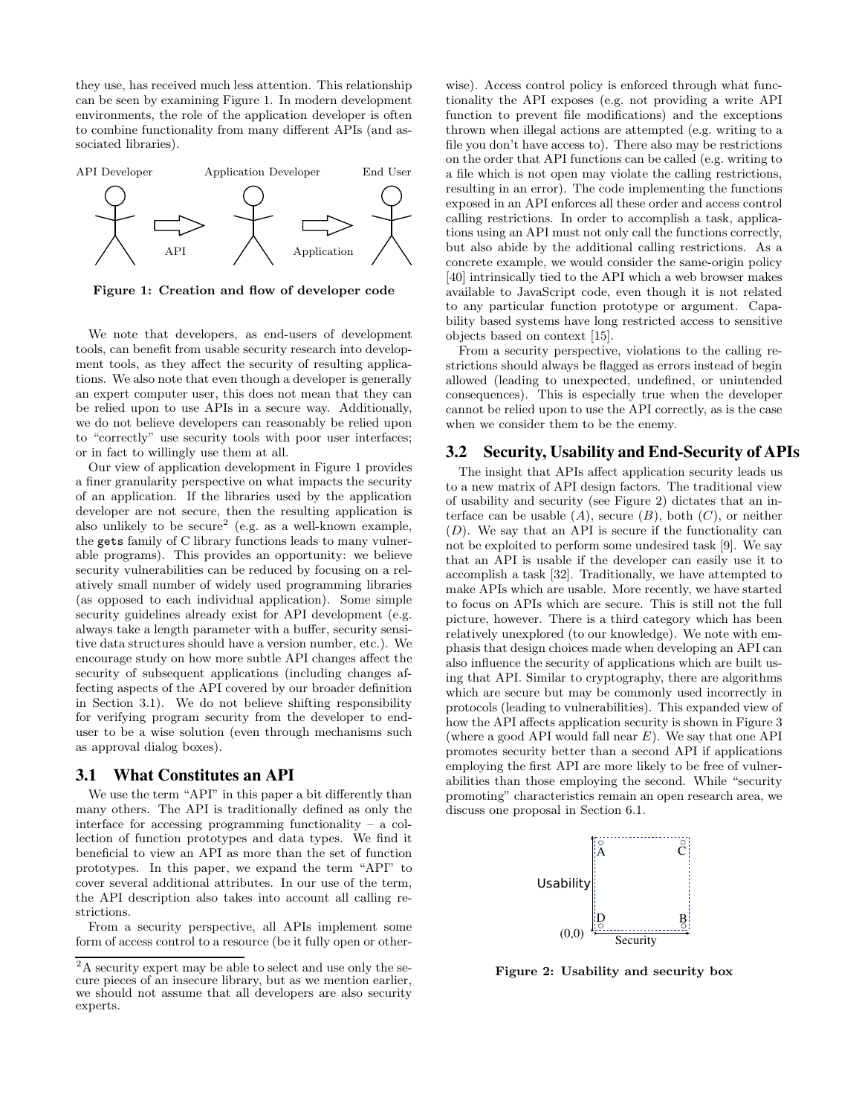they use, has received much less attention. This relationship can be seen by examining Figure 1. In modern development environments, the role of the application developer is often to combine functionality from many different APIs (and associated libraries).



Figure 1: Creation and flow of developer code

We note that developers, as end-users of development tools, can benefit from usable security research into development tools, as they affect the security of resulting applications. We also note that even though a developer is generally an expert computer user, this does not mean that they can be relied upon to use APIs in a secure way. Additionally, we do not believe developers can reasonably be relied upon to "correctly" use security tools with poor user interfaces; or in fact to willingly use them at all.

Our view of application development in Figure 1 provides a finer granularity perspective on what impacts the security of an application. If the libraries used by the application developer are not secure, then the resulting application is also unlikely to be secure<sup>2</sup> (e.g. as a well-known example, the gets family of C library functions leads to many vulnerable programs). This provides an opportunity: we believe security vulnerabilities can be reduced by focusing on a relatively small number of widely used programming libraries (as opposed to each individual application). Some simple security guidelines already exist for API development (e.g. always take a length parameter with a buffer, security sensitive data structures should have a version number, etc.). We encourage study on how more subtle API changes affect the security of subsequent applications (including changes affecting aspects of the API covered by our broader definition in Section 3.1). We do not believe shifting responsibility for verifying program security from the developer to enduser to be a wise solution (even through mechanisms such as approval dialog boxes).

#### **3.1 What Constitutes an API**

We use the term "API" in this paper a bit differently than many others. The API is traditionally defined as only the interface for accessing programming functionality – a collection of function prototypes and data types. We find it beneficial to view an API as more than the set of function prototypes. In this paper, we expand the term "API" to cover several additional attributes. In our use of the term, the API description also takes into account all calling restrictions.

From a security perspective, all APIs implement some form of access control to a resource (be it fully open or otherwise). Access control policy is enforced through what functionality the API exposes (e.g. not providing a write API function to prevent file modifications) and the exceptions thrown when illegal actions are attempted (e.g. writing to a file you don't have access to). There also may be restrictions on the order that API functions can be called (e.g. writing to a file which is not open may violate the calling restrictions, resulting in an error). The code implementing the functions exposed in an API enforces all these order and access control calling restrictions. In order to accomplish a task, applications using an API must not only call the functions correctly, but also abide by the additional calling restrictions. As a concrete example, we would consider the same-origin policy [40] intrinsically tied to the API which a web browser makes available to JavaScript code, even though it is not related to any particular function prototype or argument. Capability based systems have long restricted access to sensitive objects based on context [15].

From a security perspective, violations to the calling restrictions should always be flagged as errors instead of begin allowed (leading to unexpected, undefined, or unintended consequences). This is especially true when the developer cannot be relied upon to use the API correctly, as is the case when we consider them to be the enemy.

# **3.2 Security, Usability and End-Security of APIs**

The insight that APIs affect application security leads us to a new matrix of API design factors. The traditional view of usability and security (see Figure 2) dictates that an interface can be usable  $(A)$ , secure  $(B)$ , both  $(C)$ , or neither  $(D)$ . We say that an API is secure if the functionality can not be exploited to perform some undesired task [9]. We say that an API is usable if the developer can easily use it to accomplish a task [32]. Traditionally, we have attempted to make APIs which are usable. More recently, we have started to focus on APIs which are secure. This is still not the full picture, however. There is a third category which has been relatively unexplored (to our knowledge). We note with emphasis that design choices made when developing an API can also influence the security of applications which are built using that API. Similar to cryptography, there are algorithms which are secure but may be commonly used incorrectly in protocols (leading to vulnerabilities). This expanded view of how the API affects application security is shown in Figure 3 (where a good API would fall near  $E$ ). We say that one API promotes security better than a second API if applications employing the first API are more likely to be free of vulnerabilities than those employing the second. While "security promoting" characteristics remain an open research area, we discuss one proposal in Section 6.1.



Figure 2: Usability and security box

<sup>&</sup>lt;sup>2</sup>A security expert may be able to select and use only the secure pieces of an insecure library, but as we mention earlier, we should not assume that all developers are also security experts.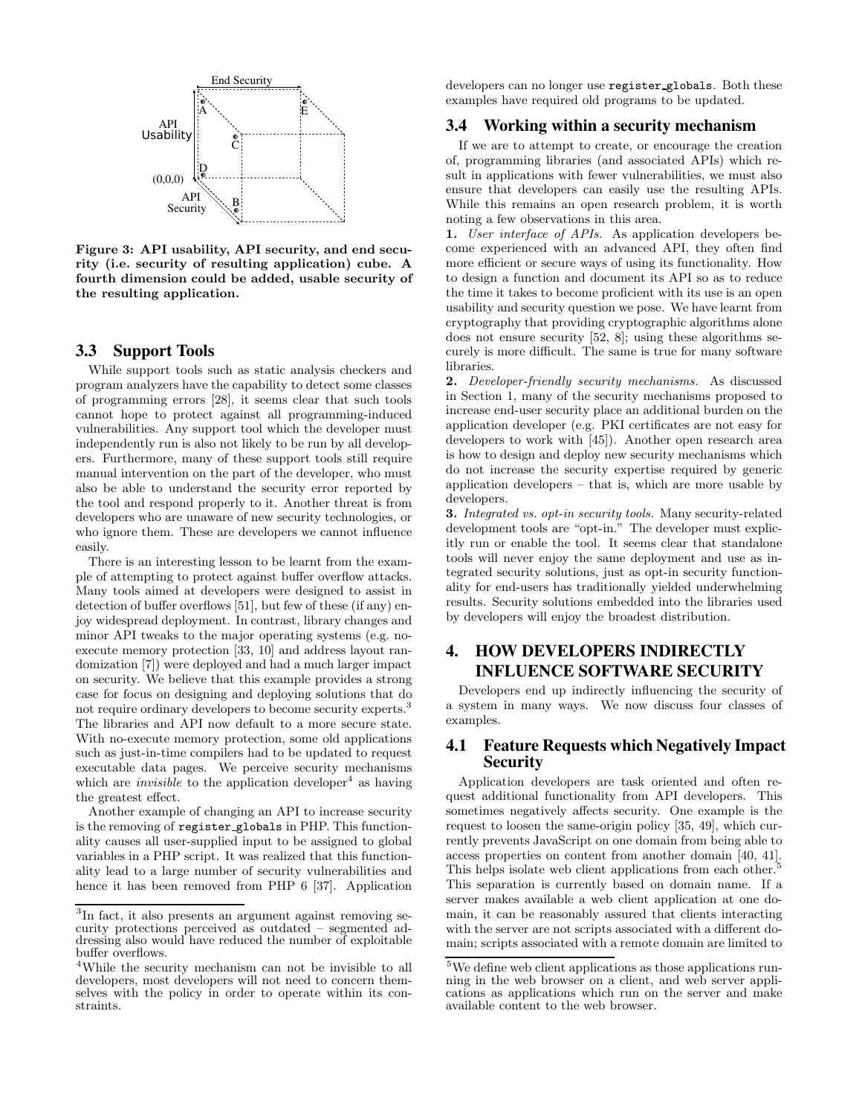

Figure 3: API usability, API security, and end security (i.e. security of resulting application) cube. A fourth dimension could be added, usable security of the resulting application.

### **3.3 Support Tools**

While support tools such as static analysis checkers and program analyzers have the capability to detect some classes of programming errors [28], it seems clear that such tools cannot hope to protect against all programming-induced vulnerabilities. Any support tool which the developer must independently run is also not likely to be run by all developers. Furthermore, many of these support tools still require manual intervention on the part of the developer, who must also be able to understand the security error reported by the tool and respond properly to it. Another threat is from developers who are unaware of new security technologies, or who ignore them. These are developers we cannot influence easily.

There is an interesting lesson to be learnt from the example of attempting to protect against buffer overflow attacks. Many tools aimed at developers were designed to assist in detection of buffer overflows [51], but few of these (if any) enjoy widespread deployment. In contrast, library changes and minor API tweaks to the major operating systems (e.g. noexecute memory protection [33, 10] and address layout randomization [7]) were deployed and had a much larger impact on security. We believe that this example provides a strong case for focus on designing and deploying solutions that do not require ordinary developers to become security experts.<sup>3</sup> The libraries and API now default to a more secure state. With no-execute memory protection, some old applications such as just-in-time compilers had to be updated to request executable data pages. We perceive security mechanisms which are *invisible* to the application developer<sup>4</sup> as having the greatest effect.

Another example of changing an API to increase security is the removing of register globals in PHP. This functionality causes all user-supplied input to be assigned to global variables in a PHP script. It was realized that this functionality lead to a large number of security vulnerabilities and hence it has been removed from PHP 6 [37]. Application developers can no longer use register globals. Both these examples have required old programs to be updated.

# **3.4 Working within a security mechanism**

If we are to attempt to create, or encourage the creation of, programming libraries (and associated APIs) which result in applications with fewer vulnerabilities, we must also ensure that developers can easily use the resulting APIs. While this remains an open research problem, it is worth noting a few observations in this area.

1. User interface of APIs. As application developers become experienced with an advanced API, they often find more efficient or secure ways of using its functionality. How to design a function and document its API so as to reduce the time it takes to become proficient with its use is an open usability and security question we pose. We have learnt from cryptography that providing cryptographic algorithms alone does not ensure security [52, 8]; using these algorithms securely is more difficult. The same is true for many software libraries.

2. Developer-friendly security mechanisms. As discussed in Section 1, many of the security mechanisms proposed to increase end-user security place an additional burden on the application developer (e.g. PKI certificates are not easy for developers to work with [45]). Another open research area is how to design and deploy new security mechanisms which do not increase the security expertise required by generic application developers – that is, which are more usable by developers.

3. Integrated vs. opt-in security tools. Many security-related development tools are "opt-in." The developer must explicitly run or enable the tool. It seems clear that standalone tools will never enjoy the same deployment and use as integrated security solutions, just as opt-in security functionality for end-users has traditionally yielded underwhelming results. Security solutions embedded into the libraries used by developers will enjoy the broadest distribution.

# **4. HOW DEVELOPERS INDIRECTLY INFLUENCE SOFTWARE SECURITY**

Developers end up indirectly influencing the security of a system in many ways. We now discuss four classes of examples.

# **4.1 Feature Requests which Negatively Impact Security**

Application developers are task oriented and often request additional functionality from API developers. This sometimes negatively affects security. One example is the request to loosen the same-origin policy [35, 49], which currently prevents JavaScript on one domain from being able to access properties on content from another domain [40, 41]. This helps isolate web client applications from each other.<sup>5</sup> This separation is currently based on domain name. If a server makes available a web client application at one domain, it can be reasonably assured that clients interacting with the server are not scripts associated with a different domain; scripts associated with a remote domain are limited to

<sup>3</sup> In fact, it also presents an argument against removing security protections perceived as outdated – segmented addressing also would have reduced the number of exploitable buffer overflows.

<sup>4</sup>While the security mechanism can not be invisible to all developers, most developers will not need to concern themselves with the policy in order to operate within its constraints.

<sup>5</sup>We define web client applications as those applications running in the web browser on a client, and web server applications as applications which run on the server and make available content to the web browser.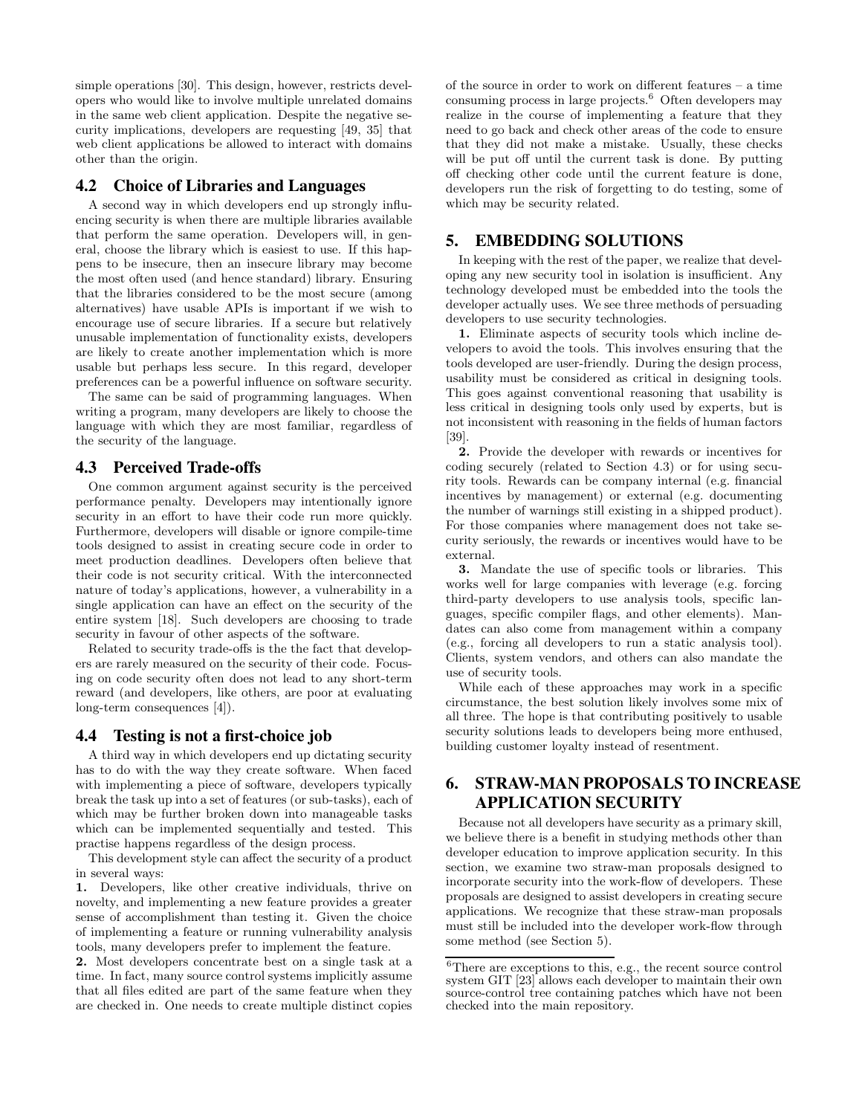simple operations [30]. This design, however, restricts developers who would like to involve multiple unrelated domains in the same web client application. Despite the negative security implications, developers are requesting [49, 35] that web client applications be allowed to interact with domains other than the origin.

# **4.2 Choice of Libraries and Languages**

A second way in which developers end up strongly influencing security is when there are multiple libraries available that perform the same operation. Developers will, in general, choose the library which is easiest to use. If this happens to be insecure, then an insecure library may become the most often used (and hence standard) library. Ensuring that the libraries considered to be the most secure (among alternatives) have usable APIs is important if we wish to encourage use of secure libraries. If a secure but relatively unusable implementation of functionality exists, developers are likely to create another implementation which is more usable but perhaps less secure. In this regard, developer preferences can be a powerful influence on software security.

The same can be said of programming languages. When writing a program, many developers are likely to choose the language with which they are most familiar, regardless of the security of the language.

#### **4.3 Perceived Trade-offs**

One common argument against security is the perceived performance penalty. Developers may intentionally ignore security in an effort to have their code run more quickly. Furthermore, developers will disable or ignore compile-time tools designed to assist in creating secure code in order to meet production deadlines. Developers often believe that their code is not security critical. With the interconnected nature of today's applications, however, a vulnerability in a single application can have an effect on the security of the entire system [18]. Such developers are choosing to trade security in favour of other aspects of the software.

Related to security trade-offs is the the fact that developers are rarely measured on the security of their code. Focusing on code security often does not lead to any short-term reward (and developers, like others, are poor at evaluating long-term consequences [4]).

## **4.4 Testing is not a first-choice job**

A third way in which developers end up dictating security has to do with the way they create software. When faced with implementing a piece of software, developers typically break the task up into a set of features (or sub-tasks), each of which may be further broken down into manageable tasks which can be implemented sequentially and tested. This practise happens regardless of the design process.

This development style can affect the security of a product in several ways:

1. Developers, like other creative individuals, thrive on novelty, and implementing a new feature provides a greater sense of accomplishment than testing it. Given the choice of implementing a feature or running vulnerability analysis tools, many developers prefer to implement the feature.

2. Most developers concentrate best on a single task at a time. In fact, many source control systems implicitly assume that all files edited are part of the same feature when they are checked in. One needs to create multiple distinct copies

of the source in order to work on different features – a time consuming process in large projects.<sup>6</sup> Often developers may realize in the course of implementing a feature that they need to go back and check other areas of the code to ensure that they did not make a mistake. Usually, these checks will be put off until the current task is done. By putting off checking other code until the current feature is done, developers run the risk of forgetting to do testing, some of which may be security related.

# **5. EMBEDDING SOLUTIONS**

In keeping with the rest of the paper, we realize that developing any new security tool in isolation is insufficient. Any technology developed must be embedded into the tools the developer actually uses. We see three methods of persuading developers to use security technologies.

1. Eliminate aspects of security tools which incline developers to avoid the tools. This involves ensuring that the tools developed are user-friendly. During the design process, usability must be considered as critical in designing tools. This goes against conventional reasoning that usability is less critical in designing tools only used by experts, but is not inconsistent with reasoning in the fields of human factors [39].

2. Provide the developer with rewards or incentives for coding securely (related to Section 4.3) or for using security tools. Rewards can be company internal (e.g. financial incentives by management) or external (e.g. documenting the number of warnings still existing in a shipped product). For those companies where management does not take security seriously, the rewards or incentives would have to be external.

3. Mandate the use of specific tools or libraries. This works well for large companies with leverage (e.g. forcing third-party developers to use analysis tools, specific languages, specific compiler flags, and other elements). Mandates can also come from management within a company (e.g., forcing all developers to run a static analysis tool). Clients, system vendors, and others can also mandate the use of security tools.

While each of these approaches may work in a specific circumstance, the best solution likely involves some mix of all three. The hope is that contributing positively to usable security solutions leads to developers being more enthused, building customer loyalty instead of resentment.

# **6. STRAW-MAN PROPOSALS TO INCREASE APPLICATION SECURITY**

Because not all developers have security as a primary skill, we believe there is a benefit in studying methods other than developer education to improve application security. In this section, we examine two straw-man proposals designed to incorporate security into the work-flow of developers. These proposals are designed to assist developers in creating secure applications. We recognize that these straw-man proposals must still be included into the developer work-flow through some method (see Section 5).

 ${}^{6}$ There are exceptions to this, e.g., the recent source control system GIT [23] allows each developer to maintain their own source-control tree containing patches which have not been checked into the main repository.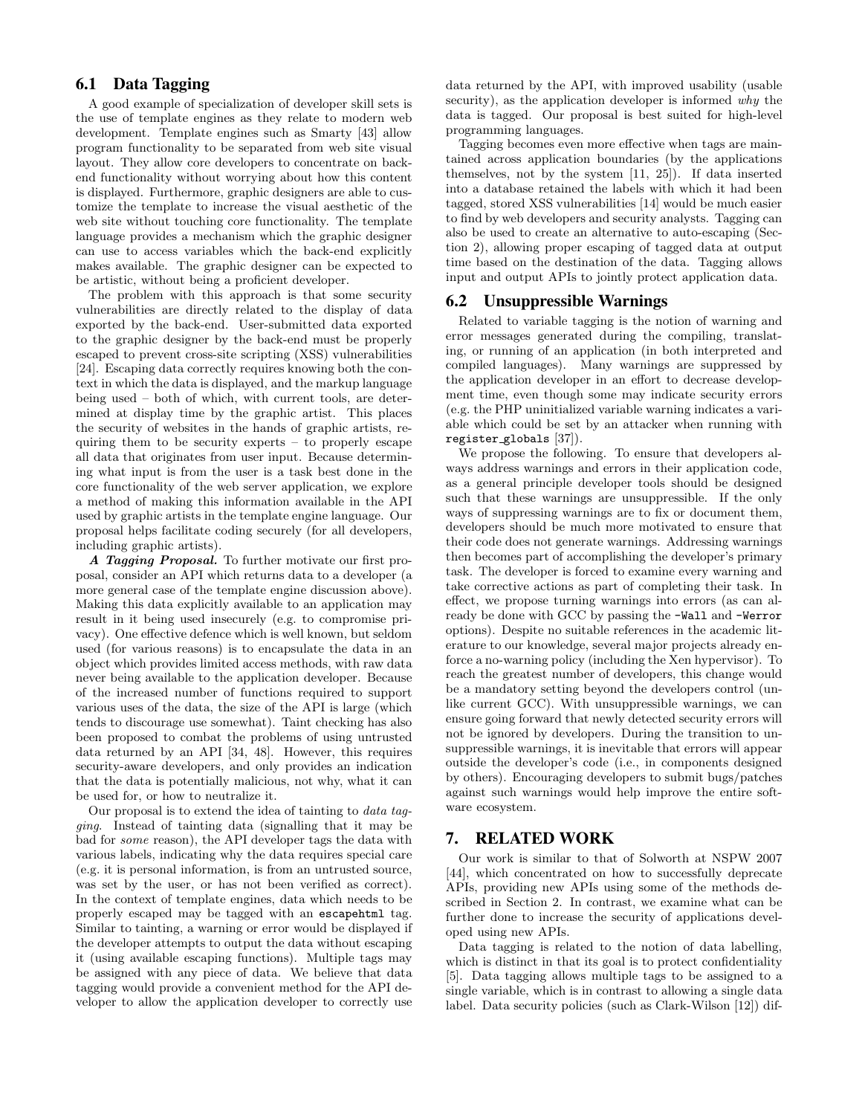# **6.1 Data Tagging**

A good example of specialization of developer skill sets is the use of template engines as they relate to modern web development. Template engines such as Smarty [43] allow program functionality to be separated from web site visual layout. They allow core developers to concentrate on backend functionality without worrying about how this content is displayed. Furthermore, graphic designers are able to customize the template to increase the visual aesthetic of the web site without touching core functionality. The template language provides a mechanism which the graphic designer can use to access variables which the back-end explicitly makes available. The graphic designer can be expected to be artistic, without being a proficient developer.

The problem with this approach is that some security vulnerabilities are directly related to the display of data exported by the back-end. User-submitted data exported to the graphic designer by the back-end must be properly escaped to prevent cross-site scripting (XSS) vulnerabilities [24]. Escaping data correctly requires knowing both the context in which the data is displayed, and the markup language being used – both of which, with current tools, are determined at display time by the graphic artist. This places the security of websites in the hands of graphic artists, requiring them to be security experts – to properly escape all data that originates from user input. Because determining what input is from the user is a task best done in the core functionality of the web server application, we explore a method of making this information available in the API used by graphic artists in the template engine language. Our proposal helps facilitate coding securely (for all developers, including graphic artists).

A Tagging Proposal. To further motivate our first proposal, consider an API which returns data to a developer (a more general case of the template engine discussion above). Making this data explicitly available to an application may result in it being used insecurely (e.g. to compromise privacy). One effective defence which is well known, but seldom used (for various reasons) is to encapsulate the data in an object which provides limited access methods, with raw data never being available to the application developer. Because of the increased number of functions required to support various uses of the data, the size of the API is large (which tends to discourage use somewhat). Taint checking has also been proposed to combat the problems of using untrusted data returned by an API [34, 48]. However, this requires security-aware developers, and only provides an indication that the data is potentially malicious, not why, what it can be used for, or how to neutralize it.

Our proposal is to extend the idea of tainting to data tagging. Instead of tainting data (signalling that it may be bad for some reason), the API developer tags the data with various labels, indicating why the data requires special care (e.g. it is personal information, is from an untrusted source, was set by the user, or has not been verified as correct). In the context of template engines, data which needs to be properly escaped may be tagged with an escapehtml tag. Similar to tainting, a warning or error would be displayed if the developer attempts to output the data without escaping it (using available escaping functions). Multiple tags may be assigned with any piece of data. We believe that data tagging would provide a convenient method for the API developer to allow the application developer to correctly use data returned by the API, with improved usability (usable security), as the application developer is informed why the data is tagged. Our proposal is best suited for high-level programming languages.

Tagging becomes even more effective when tags are maintained across application boundaries (by the applications themselves, not by the system [11, 25]). If data inserted into a database retained the labels with which it had been tagged, stored XSS vulnerabilities [14] would be much easier to find by web developers and security analysts. Tagging can also be used to create an alternative to auto-escaping (Section 2), allowing proper escaping of tagged data at output time based on the destination of the data. Tagging allows input and output APIs to jointly protect application data.

# **6.2 Unsuppressible Warnings**

Related to variable tagging is the notion of warning and error messages generated during the compiling, translating, or running of an application (in both interpreted and compiled languages). Many warnings are suppressed by the application developer in an effort to decrease development time, even though some may indicate security errors (e.g. the PHP uninitialized variable warning indicates a variable which could be set by an attacker when running with register globals [37]).

We propose the following. To ensure that developers always address warnings and errors in their application code, as a general principle developer tools should be designed such that these warnings are unsuppressible. If the only ways of suppressing warnings are to fix or document them, developers should be much more motivated to ensure that their code does not generate warnings. Addressing warnings then becomes part of accomplishing the developer's primary task. The developer is forced to examine every warning and take corrective actions as part of completing their task. In effect, we propose turning warnings into errors (as can already be done with GCC by passing the -Wall and -Werror options). Despite no suitable references in the academic literature to our knowledge, several major projects already enforce a no-warning policy (including the Xen hypervisor). To reach the greatest number of developers, this change would be a mandatory setting beyond the developers control (unlike current GCC). With unsuppressible warnings, we can ensure going forward that newly detected security errors will not be ignored by developers. During the transition to unsuppressible warnings, it is inevitable that errors will appear outside the developer's code (i.e., in components designed by others). Encouraging developers to submit bugs/patches against such warnings would help improve the entire software ecosystem.

## **7. RELATED WORK**

Our work is similar to that of Solworth at NSPW 2007 [44], which concentrated on how to successfully deprecate APIs, providing new APIs using some of the methods described in Section 2. In contrast, we examine what can be further done to increase the security of applications developed using new APIs.

Data tagging is related to the notion of data labelling, which is distinct in that its goal is to protect confidentiality [5]. Data tagging allows multiple tags to be assigned to a single variable, which is in contrast to allowing a single data label. Data security policies (such as Clark-Wilson [12]) dif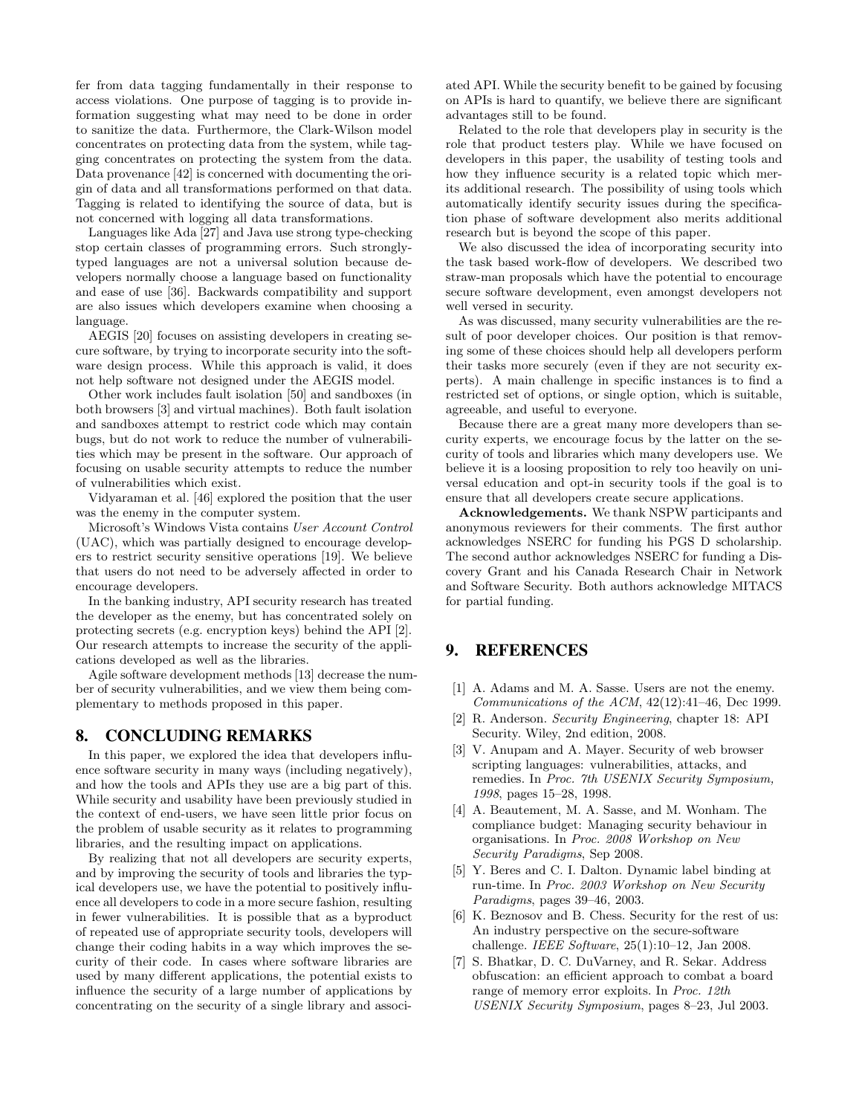fer from data tagging fundamentally in their response to access violations. One purpose of tagging is to provide information suggesting what may need to be done in order to sanitize the data. Furthermore, the Clark-Wilson model concentrates on protecting data from the system, while tagging concentrates on protecting the system from the data. Data provenance [42] is concerned with documenting the origin of data and all transformations performed on that data. Tagging is related to identifying the source of data, but is not concerned with logging all data transformations.

Languages like Ada [27] and Java use strong type-checking stop certain classes of programming errors. Such stronglytyped languages are not a universal solution because developers normally choose a language based on functionality and ease of use [36]. Backwards compatibility and support are also issues which developers examine when choosing a language.

AEGIS [20] focuses on assisting developers in creating secure software, by trying to incorporate security into the software design process. While this approach is valid, it does not help software not designed under the AEGIS model.

Other work includes fault isolation [50] and sandboxes (in both browsers [3] and virtual machines). Both fault isolation and sandboxes attempt to restrict code which may contain bugs, but do not work to reduce the number of vulnerabilities which may be present in the software. Our approach of focusing on usable security attempts to reduce the number of vulnerabilities which exist.

Vidyaraman et al. [46] explored the position that the user was the enemy in the computer system.

Microsoft's Windows Vista contains User Account Control (UAC), which was partially designed to encourage developers to restrict security sensitive operations [19]. We believe that users do not need to be adversely affected in order to encourage developers.

In the banking industry, API security research has treated the developer as the enemy, but has concentrated solely on protecting secrets (e.g. encryption keys) behind the API [2]. Our research attempts to increase the security of the applications developed as well as the libraries.

Agile software development methods [13] decrease the number of security vulnerabilities, and we view them being complementary to methods proposed in this paper.

# **8. CONCLUDING REMARKS**

In this paper, we explored the idea that developers influence software security in many ways (including negatively), and how the tools and APIs they use are a big part of this. While security and usability have been previously studied in the context of end-users, we have seen little prior focus on the problem of usable security as it relates to programming libraries, and the resulting impact on applications.

By realizing that not all developers are security experts, and by improving the security of tools and libraries the typical developers use, we have the potential to positively influence all developers to code in a more secure fashion, resulting in fewer vulnerabilities. It is possible that as a byproduct of repeated use of appropriate security tools, developers will change their coding habits in a way which improves the security of their code. In cases where software libraries are used by many different applications, the potential exists to influence the security of a large number of applications by concentrating on the security of a single library and associated API. While the security benefit to be gained by focusing on APIs is hard to quantify, we believe there are significant advantages still to be found.

Related to the role that developers play in security is the role that product testers play. While we have focused on developers in this paper, the usability of testing tools and how they influence security is a related topic which merits additional research. The possibility of using tools which automatically identify security issues during the specification phase of software development also merits additional research but is beyond the scope of this paper.

We also discussed the idea of incorporating security into the task based work-flow of developers. We described two straw-man proposals which have the potential to encourage secure software development, even amongst developers not well versed in security.

As was discussed, many security vulnerabilities are the result of poor developer choices. Our position is that removing some of these choices should help all developers perform their tasks more securely (even if they are not security experts). A main challenge in specific instances is to find a restricted set of options, or single option, which is suitable, agreeable, and useful to everyone.

Because there are a great many more developers than security experts, we encourage focus by the latter on the security of tools and libraries which many developers use. We believe it is a loosing proposition to rely too heavily on universal education and opt-in security tools if the goal is to ensure that all developers create secure applications.

Acknowledgements. We thank NSPW participants and anonymous reviewers for their comments. The first author acknowledges NSERC for funding his PGS D scholarship. The second author acknowledges NSERC for funding a Discovery Grant and his Canada Research Chair in Network and Software Security. Both authors acknowledge MITACS for partial funding.

# **9. REFERENCES**

- [1] A. Adams and M. A. Sasse. Users are not the enemy.  $Communications of the ACM, 42(12):41–46, Dec 1999.$
- [2] R. Anderson. Security Engineering, chapter 18: API Security. Wiley, 2nd edition, 2008.
- [3] V. Anupam and A. Mayer. Security of web browser scripting languages: vulnerabilities, attacks, and remedies. In Proc. 7th USENIX Security Symposium, 1998, pages 15–28, 1998.
- [4] A. Beautement, M. A. Sasse, and M. Wonham. The compliance budget: Managing security behaviour in organisations. In Proc. 2008 Workshop on New Security Paradigms, Sep 2008.
- [5] Y. Beres and C. I. Dalton. Dynamic label binding at run-time. In Proc. 2003 Workshop on New Security Paradigms, pages 39–46, 2003.
- [6] K. Beznosov and B. Chess. Security for the rest of us: An industry perspective on the secure-software challenge. IEEE Software, 25(1):10–12, Jan 2008.
- [7] S. Bhatkar, D. C. DuVarney, and R. Sekar. Address obfuscation: an efficient approach to combat a board range of memory error exploits. In Proc. 12th USENIX Security Symposium, pages 8–23, Jul 2003.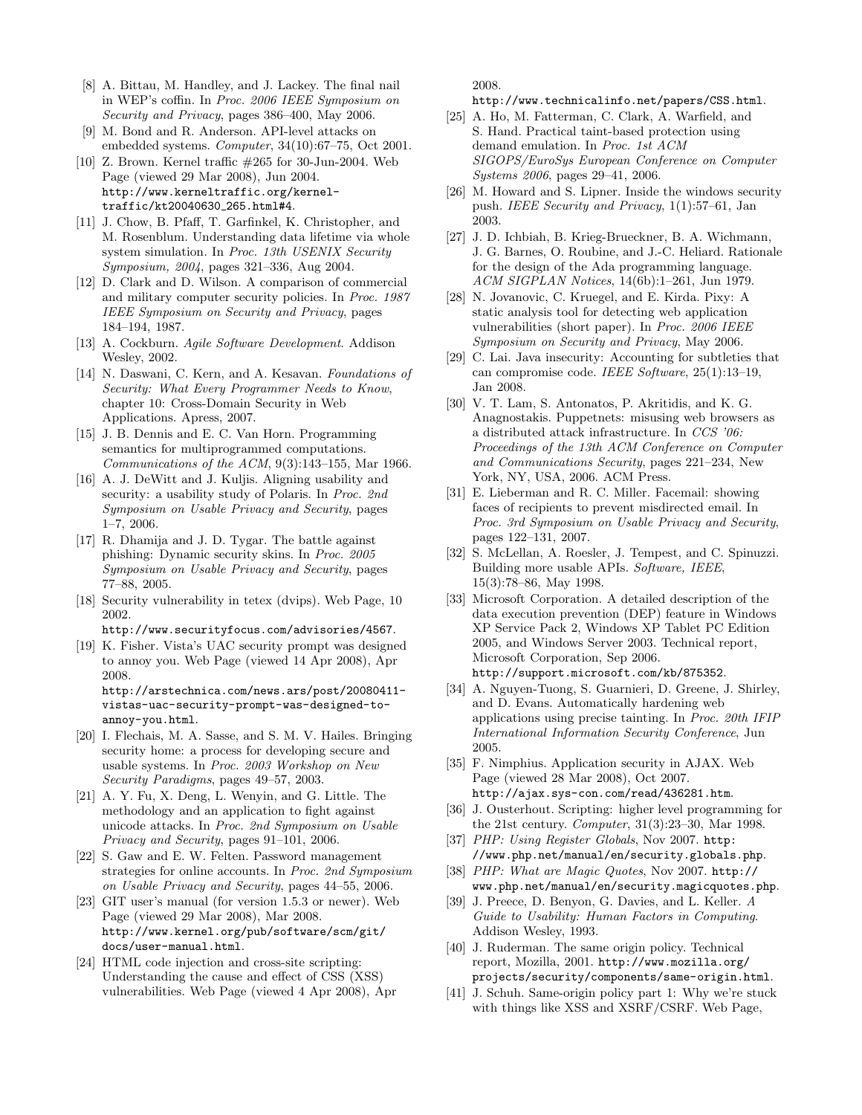- [8] A. Bittau, M. Handley, and J. Lackey. The final nail in WEP's coffin. In Proc. 2006 IEEE Symposium on Security and Privacy, pages 386–400, May 2006.
- [9] M. Bond and R. Anderson. API-level attacks on embedded systems. Computer, 34(10):67–75, Oct 2001.
- [10] Z. Brown. Kernel traffic #265 for 30-Jun-2004. Web Page (viewed 29 Mar 2008), Jun 2004. http://www.kerneltraffic.org/kerneltraffic/kt20040630 265.html#4.
- [11] J. Chow, B. Pfaff, T. Garfinkel, K. Christopher, and M. Rosenblum. Understanding data lifetime via whole system simulation. In Proc. 13th USENIX Security Symposium, 2004, pages 321–336, Aug 2004.
- [12] D. Clark and D. Wilson. A comparison of commercial and military computer security policies. In Proc. 1987 IEEE Symposium on Security and Privacy, pages 184–194, 1987.
- [13] A. Cockburn. Agile Software Development. Addison Wesley, 2002.
- [14] N. Daswani, C. Kern, and A. Kesavan. Foundations of Security: What Every Programmer Needs to Know, chapter 10: Cross-Domain Security in Web Applications. Apress, 2007.
- [15] J. B. Dennis and E. C. Van Horn. Programming semantics for multiprogrammed computations. Communications of the  $ACM$ ,  $9(3):143-155$ , Mar 1966.
- [16] A. J. DeWitt and J. Kuljis. Aligning usability and security: a usability study of Polaris. In Proc. 2nd Symposium on Usable Privacy and Security, pages 1–7, 2006.
- [17] R. Dhamija and J. D. Tygar. The battle against phishing: Dynamic security skins. In Proc. 2005 Symposium on Usable Privacy and Security, pages 77–88, 2005.
- [18] Security vulnerability in tetex (dvips). Web Page, 10 2002.

http://www.securityfocus.com/advisories/4567.

[19] K. Fisher. Vista's UAC security prompt was designed to annoy you. Web Page (viewed 14 Apr 2008), Apr 2008. http://arstechnica.com/news.ars/post/20080411-

vistas-uac-security-prompt-was-designed-toannoy-you.html.

- [20] I. Flechais, M. A. Sasse, and S. M. V. Hailes. Bringing security home: a process for developing secure and usable systems. In Proc. 2003 Workshop on New Security Paradigms, pages 49–57, 2003.
- [21] A. Y. Fu, X. Deng, L. Wenyin, and G. Little. The methodology and an application to fight against unicode attacks. In Proc. 2nd Symposium on Usable Privacy and Security, pages 91–101, 2006.
- [22] S. Gaw and E. W. Felten. Password management strategies for online accounts. In Proc. 2nd Symposium on Usable Privacy and Security, pages 44–55, 2006.
- [23] GIT user's manual (for version 1.5.3 or newer). Web Page (viewed 29 Mar 2008), Mar 2008. http://www.kernel.org/pub/software/scm/git/ docs/user-manual.html.
- [24] HTML code injection and cross-site scripting: Understanding the cause and effect of CSS (XSS) vulnerabilities. Web Page (viewed 4 Apr 2008), Apr

2008.

http://www.technicalinfo.net/papers/CSS.html.

- [25] A. Ho, M. Fatterman, C. Clark, A. Warfield, and S. Hand. Practical taint-based protection using demand emulation. In Proc. 1st ACM SIGOPS/EuroSys European Conference on Computer Systems 2006, pages 29–41, 2006.
- [26] M. Howard and S. Lipner. Inside the windows security push. IEEE Security and Privacy, 1(1):57–61, Jan 2003.
- [27] J. D. Ichbiah, B. Krieg-Brueckner, B. A. Wichmann, J. G. Barnes, O. Roubine, and J.-C. Heliard. Rationale for the design of the Ada programming language. ACM SIGPLAN Notices, 14(6b):1–261, Jun 1979.
- [28] N. Jovanovic, C. Kruegel, and E. Kirda. Pixy: A static analysis tool for detecting web application vulnerabilities (short paper). In Proc. 2006 IEEE Symposium on Security and Privacy, May 2006.
- [29] C. Lai. Java insecurity: Accounting for subtleties that can compromise code. IEEE Software, 25(1):13–19, Jan 2008.
- [30] V. T. Lam, S. Antonatos, P. Akritidis, and K. G. Anagnostakis. Puppetnets: misusing web browsers as a distributed attack infrastructure. In CCS '06: Proceedings of the 13th ACM Conference on Computer and Communications Security, pages 221–234, New York, NY, USA, 2006. ACM Press.
- [31] E. Lieberman and R. C. Miller. Facemail: showing faces of recipients to prevent misdirected email. In Proc. 3rd Symposium on Usable Privacy and Security, pages 122–131, 2007.
- [32] S. McLellan, A. Roesler, J. Tempest, and C. Spinuzzi. Building more usable APIs. Software, IEEE, 15(3):78–86, May 1998.
- [33] Microsoft Corporation. A detailed description of the data execution prevention (DEP) feature in Windows XP Service Pack 2, Windows XP Tablet PC Edition 2005, and Windows Server 2003. Technical report, Microsoft Corporation, Sep 2006. http://support.microsoft.com/kb/875352.
- [34] A. Nguyen-Tuong, S. Guarnieri, D. Greene, J. Shirley, and D. Evans. Automatically hardening web applications using precise tainting. In Proc. 20th IFIP International Information Security Conference, Jun 2005.
- [35] F. Nimphius. Application security in AJAX. Web Page (viewed 28 Mar 2008), Oct 2007. http://ajax.sys-con.com/read/436281.htm.
- [36] J. Ousterhout. Scripting: higher level programming for the 21st century. Computer, 31(3):23–30, Mar 1998.
- [37] PHP: Using Register Globals, Nov 2007. http: //www.php.net/manual/en/security.globals.php.
- [38] PHP: What are Magic Quotes, Nov 2007. http:// www.php.net/manual/en/security.magicquotes.php.
- [39] J. Preece, D. Benyon, G. Davies, and L. Keller. A Guide to Usability: Human Factors in Computing. Addison Wesley, 1993.
- [40] J. Ruderman. The same origin policy. Technical report, Mozilla, 2001. http://www.mozilla.org/ projects/security/components/same-origin.html.
- [41] J. Schuh. Same-origin policy part 1: Why we're stuck with things like XSS and XSRF/CSRF. Web Page,